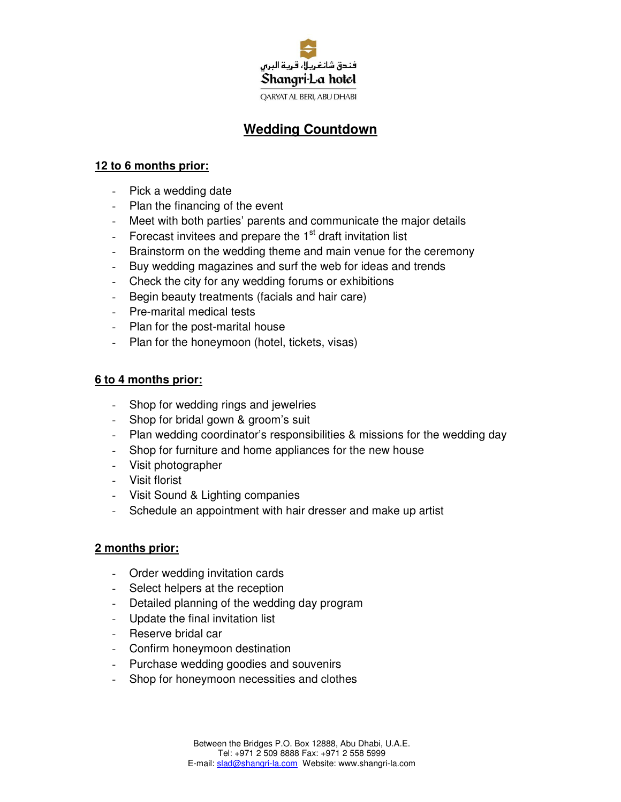

# **Wedding Countdown**

# **12 to 6 months prior:**

- Pick a wedding date
- Plan the financing of the event
- Meet with both parties' parents and communicate the major details
- Forecast invitees and prepare the  $1<sup>st</sup>$  draft invitation list
- Brainstorm on the wedding theme and main venue for the ceremony
- Buy wedding magazines and surf the web for ideas and trends
- Check the city for any wedding forums or exhibitions
- Begin beauty treatments (facials and hair care)
- Pre-marital medical tests
- Plan for the post-marital house
- Plan for the honeymoon (hotel, tickets, visas)

# **6 to 4 months prior:**

- Shop for wedding rings and jewelries
- Shop for bridal gown & groom's suit
- Plan wedding coordinator's responsibilities & missions for the wedding day
- Shop for furniture and home appliances for the new house
- Visit photographer
- Visit florist
- Visit Sound & Lighting companies
- Schedule an appointment with hair dresser and make up artist

## **2 months prior:**

- Order wedding invitation cards
- Select helpers at the reception
- Detailed planning of the wedding day program
- Update the final invitation list
- Reserve bridal car
- Confirm honeymoon destination
- Purchase wedding goodies and souvenirs
- Shop for honeymoon necessities and clothes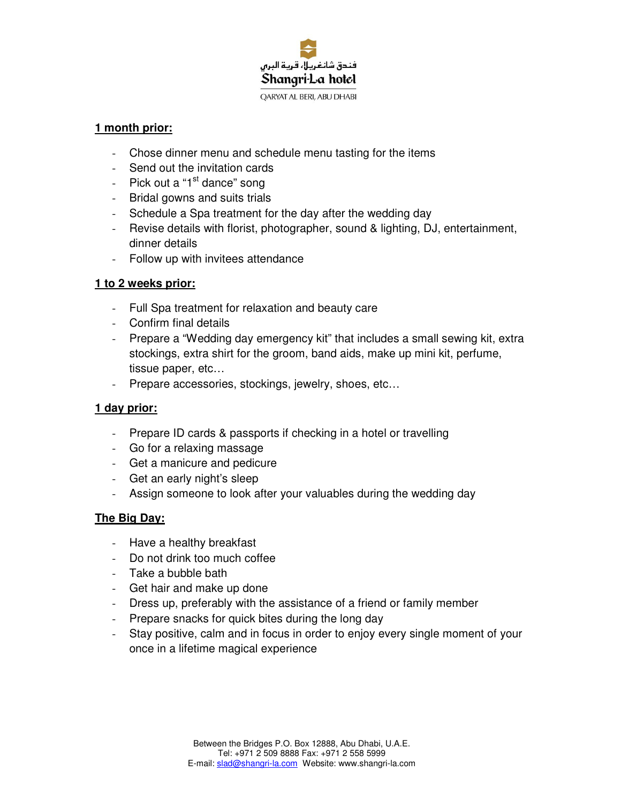

#### **1 month prior:**

- Chose dinner menu and schedule menu tasting for the items
- Send out the invitation cards
- Pick out a "1<sup>st</sup> dance" song
- Bridal gowns and suits trials
- Schedule a Spa treatment for the day after the wedding day
- Revise details with florist, photographer, sound & lighting, DJ, entertainment, dinner details
- Follow up with invitees attendance

# **1 to 2 weeks prior:**

- Full Spa treatment for relaxation and beauty care
- Confirm final details
- Prepare a "Wedding day emergency kit" that includes a small sewing kit, extra stockings, extra shirt for the groom, band aids, make up mini kit, perfume, tissue paper, etc…
- Prepare accessories, stockings, jewelry, shoes, etc...

## **1 day prior:**

- Prepare ID cards & passports if checking in a hotel or travelling
- Go for a relaxing massage
- Get a manicure and pedicure
- Get an early night's sleep
- Assign someone to look after your valuables during the wedding day

## **The Big Day:**

- Have a healthy breakfast
- Do not drink too much coffee
- Take a bubble bath
- Get hair and make up done
- Dress up, preferably with the assistance of a friend or family member
- Prepare snacks for quick bites during the long day
- Stay positive, calm and in focus in order to enjoy every single moment of your once in a lifetime magical experience